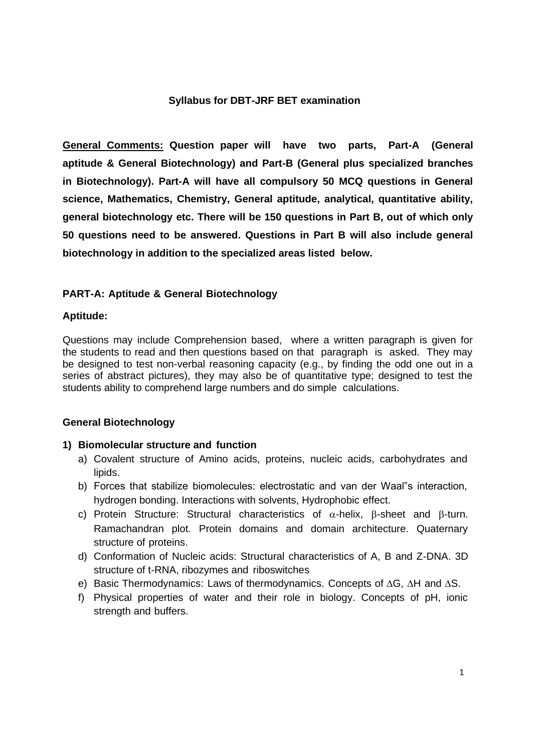## **Syllabus for DBT-JRF BET examination**

**General Comments: Question paper will have two parts, Part-A (General aptitude & General Biotechnology) and Part-B (General plus specialized branches in Biotechnology). Part-A will have all compulsory 50 MCQ questions in General science, Mathematics, Chemistry, General aptitude, analytical, quantitative ability, general biotechnology etc. There will be 150 questions in Part B, out of which only 50 questions need to be answered. Questions in Part B will also include general biotechnology in addition to the specialized areas listed below.**

# **PART-A: Aptitude & General Biotechnology**

### **Aptitude:**

Questions may include Comprehension based, where a written paragraph is given for the students to read and then questions based on that paragraph is asked. They may be designed to test non-verbal reasoning capacity (e.g., by finding the odd one out in a series of abstract pictures), they may also be of quantitative type; designed to test the students ability to comprehend large numbers and do simple calculations.

### **General Biotechnology**

### **1) Biomolecular structure and function**

- a) Covalent structure of Amino acids, proteins, nucleic acids, carbohydrates and lipids.
- b) Forces that stabilize biomolecules: electrostatic and van der Waal"s interaction, hydrogen bonding. Interactions with solvents, Hydrophobic effect.
- c) Protein Structure: Structural characteristics of  $\alpha$ -helix,  $\beta$ -sheet and  $\beta$ -turn. Ramachandran plot. Protein domains and domain architecture. Quaternary structure of proteins.
- d) Conformation of Nucleic acids: Structural characteristics of A, B and Z-DNA. 3D structure of t-RNA, ribozymes and riboswitches
- e) Basic Thermodynamics: Laws of thermodynamics. Concepts of ∆G, ∆H and ∆S.
- f) Physical properties of water and their role in biology. Concepts of pH, ionic strength and buffers.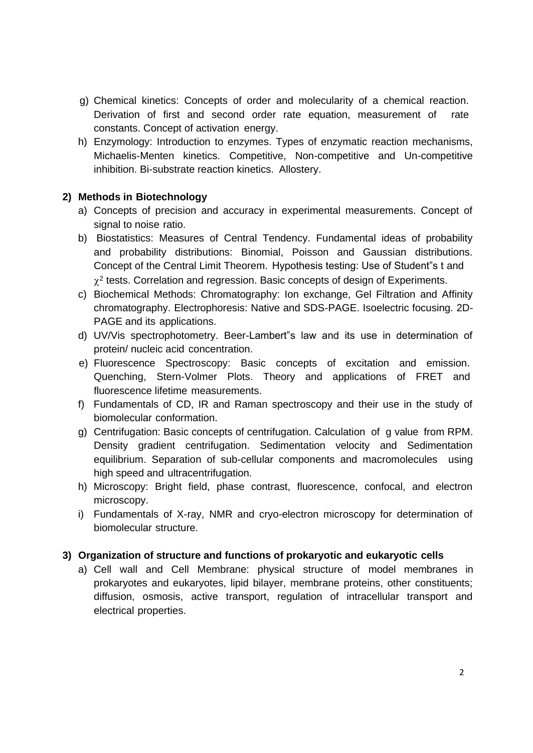- g) Chemical kinetics: Concepts of order and molecularity of a chemical reaction. Derivation of first and second order rate equation, measurement of rate constants. Concept of activation energy.
- h) Enzymology: Introduction to enzymes. Types of enzymatic reaction mechanisms, Michaelis-Menten kinetics. Competitive, Non-competitive and Un-competitive inhibition. Bi-substrate reaction kinetics. Allostery.

# **2) Methods in Biotechnology**

- a) Concepts of precision and accuracy in experimental measurements. Concept of signal to noise ratio.
- b) Biostatistics: Measures of Central Tendency. Fundamental ideas of probability and probability distributions: Binomial, Poisson and Gaussian distributions. Concept of the Central Limit Theorem. Hypothesis testing: Use of Student"s t and  $\chi^2$  tests. Correlation and regression. Basic concepts of design of Experiments.
- c) Biochemical Methods: Chromatography: Ion exchange, Gel Filtration and Affinity chromatography. Electrophoresis: Native and SDS-PAGE. Isoelectric focusing. 2D-PAGE and its applications.
- d) UV/Vis spectrophotometry. Beer-Lambert"s law and its use in determination of protein/ nucleic acid concentration.
- e) Fluorescence Spectroscopy: Basic concepts of excitation and emission. Quenching, Stern-Volmer Plots. Theory and applications of FRET and fluorescence lifetime measurements.
- f) Fundamentals of CD, IR and Raman spectroscopy and their use in the study of biomolecular conformation.
- g) Centrifugation: Basic concepts of centrifugation. Calculation of g value from RPM. Density gradient centrifugation. Sedimentation velocity and Sedimentation equilibrium. Separation of sub-cellular components and macromolecules using high speed and ultracentrifugation.
- h) Microscopy: Bright field, phase contrast, fluorescence, confocal, and electron microscopy.
- i) Fundamentals of X-ray, NMR and cryo-electron microscopy for determination of biomolecular structure.

# **3) Organization of structure and functions of prokaryotic and eukaryotic cells**

a) Cell wall and Cell Membrane: physical structure of model membranes in prokaryotes and eukaryotes, lipid bilayer, membrane proteins, other constituents; diffusion, osmosis, active transport, regulation of intracellular transport and electrical properties.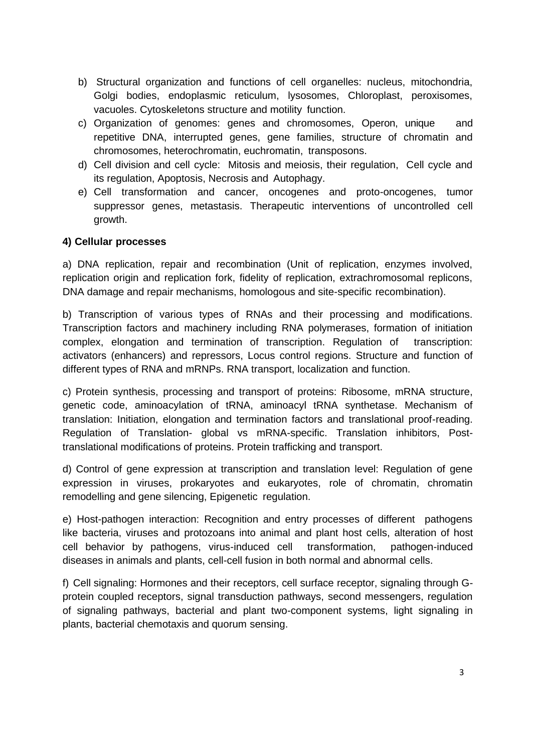- b) Structural organization and functions of cell organelles: nucleus, mitochondria, Golgi bodies, endoplasmic reticulum, lysosomes, Chloroplast, peroxisomes, vacuoles. Cytoskeletons structure and motility function.
- c) Organization of genomes: genes and chromosomes, Operon, unique and repetitive DNA, interrupted genes, gene families, structure of chromatin and chromosomes, heterochromatin, euchromatin, transposons.
- d) Cell division and cell cycle: Mitosis and meiosis, their regulation, Cell cycle and its regulation, Apoptosis, Necrosis and Autophagy.
- e) Cell transformation and cancer, oncogenes and proto-oncogenes, tumor suppressor genes, metastasis. Therapeutic interventions of uncontrolled cell growth.

# **4) Cellular processes**

a) DNA replication, repair and recombination (Unit of replication, enzymes involved, replication origin and replication fork, fidelity of replication, extrachromosomal replicons, DNA damage and repair mechanisms, homologous and site-specific recombination).

b) Transcription of various types of RNAs and their processing and modifications. Transcription factors and machinery including RNA polymerases, formation of initiation complex, elongation and termination of transcription. Regulation of transcription: activators (enhancers) and repressors, Locus control regions. Structure and function of different types of RNA and mRNPs. RNA transport, localization and function.

c) Protein synthesis, processing and transport of proteins: Ribosome, mRNA structure, genetic code, aminoacylation of tRNA, aminoacyl tRNA synthetase. Mechanism of translation: Initiation, elongation and termination factors and translational proof-reading. Regulation of Translation- global vs mRNA-specific. Translation inhibitors, Posttranslational modifications of proteins. Protein trafficking and transport.

d) Control of gene expression at transcription and translation level: Regulation of gene expression in viruses, prokaryotes and eukaryotes, role of chromatin, chromatin remodelling and gene silencing, Epigenetic regulation.

e) Host-pathogen interaction: Recognition and entry processes of different pathogens like bacteria, viruses and protozoans into animal and plant host cells, alteration of host cell behavior by pathogens, virus-induced cell transformation, pathogen-induced diseases in animals and plants, cell-cell fusion in both normal and abnormal cells.

f) Cell signaling: Hormones and their receptors, cell surface receptor, signaling through Gprotein coupled receptors, signal transduction pathways, second messengers, regulation of signaling pathways, bacterial and plant two-component systems, light signaling in plants, bacterial chemotaxis and quorum sensing.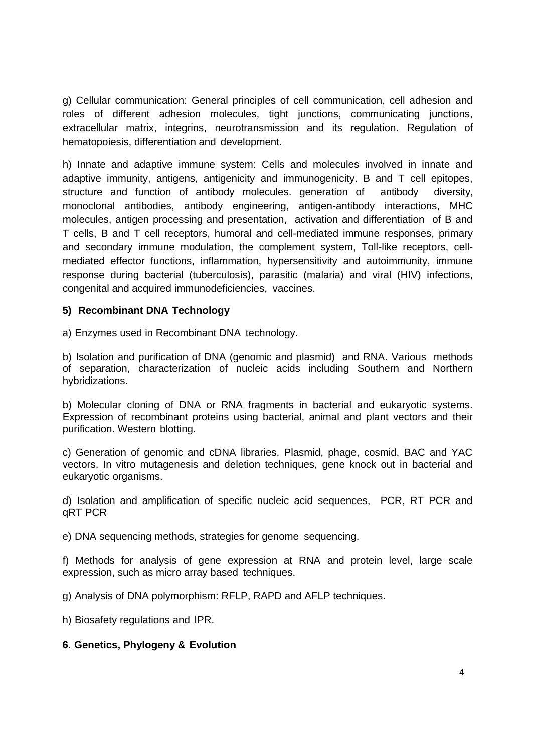g) Cellular communication: General principles of cell communication, cell adhesion and roles of different adhesion molecules, tight junctions, communicating junctions, extracellular matrix, integrins, neurotransmission and its regulation. Regulation of hematopoiesis, differentiation and development.

h) Innate and adaptive immune system: Cells and molecules involved in innate and adaptive immunity, antigens, antigenicity and immunogenicity. B and T cell epitopes, structure and function of antibody molecules. generation of antibody diversity, monoclonal antibodies, antibody engineering, antigen-antibody interactions, MHC molecules, antigen processing and presentation, activation and differentiation of B and T cells, B and T cell receptors, humoral and cell-mediated immune responses, primary and secondary immune modulation, the complement system, Toll-like receptors, cellmediated effector functions, inflammation, hypersensitivity and autoimmunity, immune response during bacterial (tuberculosis), parasitic (malaria) and viral (HIV) infections, congenital and acquired immunodeficiencies, vaccines.

### **5) Recombinant DNA Technology**

a) Enzymes used in Recombinant DNA technology.

b) Isolation and purification of DNA (genomic and plasmid) and RNA. Various methods of separation, characterization of nucleic acids including Southern and Northern hybridizations.

b) Molecular cloning of DNA or RNA fragments in bacterial and eukaryotic systems. Expression of recombinant proteins using bacterial, animal and plant vectors and their purification. Western blotting.

c) Generation of genomic and cDNA libraries. Plasmid, phage, cosmid, BAC and YAC vectors. In vitro mutagenesis and deletion techniques, gene knock out in bacterial and eukaryotic organisms.

d) Isolation and amplification of specific nucleic acid sequences, PCR, RT PCR and qRT PCR

e) DNA sequencing methods, strategies for genome sequencing.

f) Methods for analysis of gene expression at RNA and protein level, large scale expression, such as micro array based techniques.

g) Analysis of DNA polymorphism: RFLP, RAPD and AFLP techniques.

h) Biosafety regulations and IPR.

### **6. Genetics, Phylogeny & Evolution**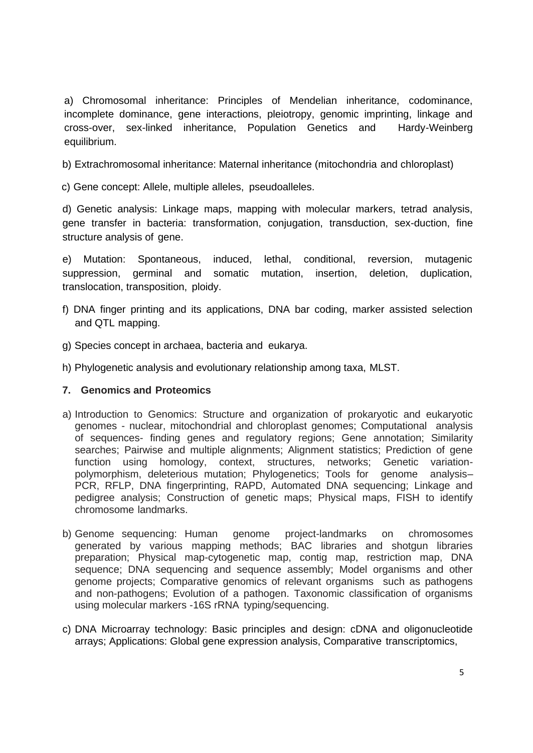a) Chromosomal inheritance: Principles of Mendelian inheritance, codominance, incomplete dominance, gene interactions, pleiotropy, genomic imprinting, linkage and cross-over, sex-linked inheritance, Population Genetics and Hardy-Weinberg equilibrium.

b) Extrachromosomal inheritance: Maternal inheritance (mitochondria and chloroplast)

c) Gene concept: Allele, multiple alleles, pseudoalleles.

d) Genetic analysis: Linkage maps, mapping with molecular markers, tetrad analysis, gene transfer in bacteria: transformation, conjugation, transduction, sex-duction, fine structure analysis of gene.

e) Mutation: Spontaneous, induced, lethal, conditional, reversion, mutagenic suppression, germinal and somatic mutation, insertion, deletion, duplication, translocation, transposition, ploidy.

- f) DNA finger printing and its applications, DNA bar coding, marker assisted selection and QTL mapping.
- g) Species concept in archaea, bacteria and eukarya.
- h) Phylogenetic analysis and evolutionary relationship among taxa, MLST.

# **7. Genomics and Proteomics**

- a) Introduction to Genomics: Structure and organization of prokaryotic and eukaryotic genomes - nuclear, mitochondrial and chloroplast genomes; Computational analysis of sequences- finding genes and regulatory regions; Gene annotation; Similarity searches; Pairwise and multiple alignments; Alignment statistics; Prediction of gene function using homology, context, structures, networks; Genetic variationpolymorphism, deleterious mutation; Phylogenetics; Tools for genome analysis– PCR, RFLP, DNA fingerprinting, RAPD, Automated DNA sequencing; Linkage and pedigree analysis; Construction of genetic maps; Physical maps, FISH to identify chromosome landmarks.
- b) Genome sequencing: Human genome project-landmarks on chromosomes generated by various mapping methods; BAC libraries and shotgun libraries preparation; Physical map-cytogenetic map, contig map, restriction map, DNA sequence; DNA sequencing and sequence assembly; Model organisms and other genome projects; Comparative genomics of relevant organisms such as pathogens and non-pathogens; Evolution of a pathogen. Taxonomic classification of organisms using molecular markers -16S rRNA typing/sequencing.
- c) DNA Microarray technology: Basic principles and design: cDNA and oligonucleotide arrays; Applications: Global gene expression analysis, Comparative transcriptomics,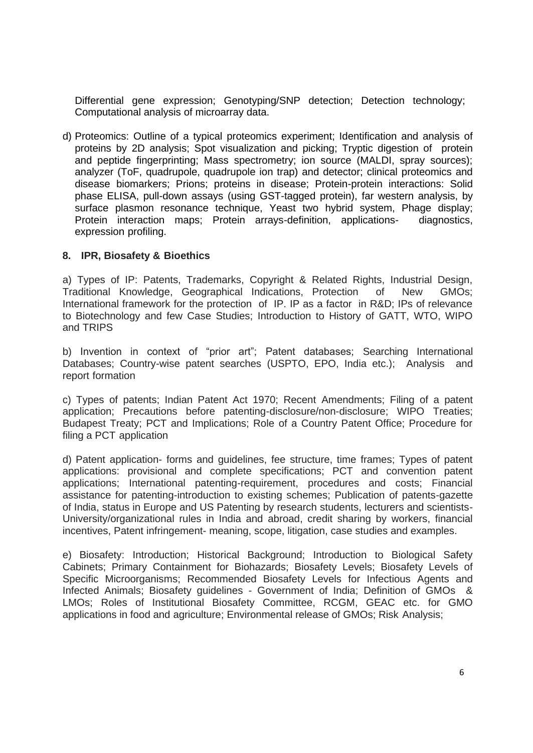Differential gene expression; Genotyping/SNP detection; Detection technology; Computational analysis of microarray data.

d) Proteomics: Outline of a typical proteomics experiment; Identification and analysis of proteins by 2D analysis; Spot visualization and picking; Tryptic digestion of protein and peptide fingerprinting; Mass spectrometry; ion source (MALDI, spray sources); analyzer (ToF, quadrupole, quadrupole ion trap) and detector; clinical proteomics and disease biomarkers; Prions; proteins in disease; Protein-protein interactions: Solid phase ELISA, pull-down assays (using GST-tagged protein), far western analysis, by surface plasmon resonance technique, Yeast two hybrid system, Phage display; Protein interaction maps; Protein arrays-definition, applications- diagnostics, expression profiling.

#### **8. IPR, Biosafety & Bioethics**

a) Types of IP: Patents, Trademarks, Copyright & Related Rights, Industrial Design, Traditional Knowledge, Geographical Indications, Protection of New GMOs; International framework for the protection of IP. IP as a factor in R&D; IPs of relevance to Biotechnology and few Case Studies; Introduction to History of GATT, WTO, WIPO and TRIPS

b) Invention in context of "prior art"; Patent databases; Searching International Databases; Country-wise patent searches (USPTO, EPO, India etc.); Analysis and report formation

c) Types of patents; Indian Patent Act 1970; Recent Amendments; Filing of a patent application; Precautions before patenting-disclosure/non-disclosure; WIPO Treaties; Budapest Treaty; PCT and Implications; Role of a Country Patent Office; Procedure for filing a PCT application

d) Patent application- forms and guidelines, fee structure, time frames; Types of patent applications: provisional and complete specifications; PCT and convention patent applications; International patenting-requirement, procedures and costs; Financial assistance for patenting-introduction to existing schemes; Publication of patents-gazette of India, status in Europe and US Patenting by research students, lecturers and scientists-University/organizational rules in India and abroad, credit sharing by workers, financial incentives, Patent infringement- meaning, scope, litigation, case studies and examples.

e) Biosafety: Introduction; Historical Background; Introduction to Biological Safety Cabinets; Primary Containment for Biohazards; Biosafety Levels; Biosafety Levels of Specific Microorganisms; Recommended Biosafety Levels for Infectious Agents and Infected Animals; Biosafety guidelines - Government of India; Definition of GMOs & LMOs; Roles of Institutional Biosafety Committee, RCGM, GEAC etc. for GMO applications in food and agriculture; Environmental release of GMOs; Risk Analysis;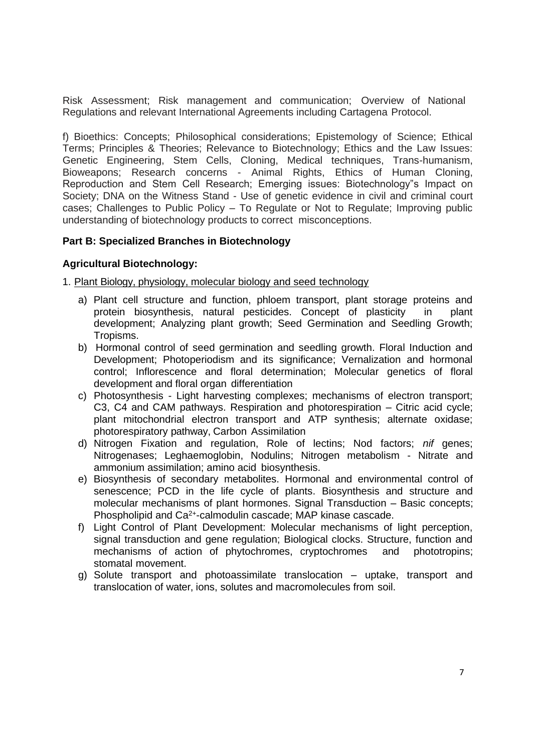Risk Assessment; Risk management and communication; Overview of National Regulations and relevant International Agreements including Cartagena Protocol.

f) Bioethics: Concepts; Philosophical considerations; Epistemology of Science; Ethical Terms; Principles & Theories; Relevance to Biotechnology; Ethics and the Law Issues: Genetic Engineering, Stem Cells, Cloning, Medical techniques, Trans-humanism, Bioweapons; Research concerns - Animal Rights, Ethics of Human Cloning, Reproduction and Stem Cell Research; Emerging issues: Biotechnology"s Impact on Society; DNA on the Witness Stand - Use of genetic evidence in civil and criminal court cases; Challenges to Public Policy – To Regulate or Not to Regulate; Improving public understanding of biotechnology products to correct misconceptions.

### **Part B: Specialized Branches in Biotechnology**

### **Agricultural Biotechnology:**

1. Plant Biology, physiology, molecular biology and seed technology

- a) Plant cell structure and function, phloem transport, plant storage proteins and protein biosynthesis, natural pesticides. Concept of plasticity in plant development; Analyzing plant growth; Seed Germination and Seedling Growth; Tropisms.
- b) Hormonal control of seed germination and seedling growth. Floral Induction and Development; Photoperiodism and its significance; Vernalization and hormonal control; Inflorescence and floral determination; Molecular genetics of floral development and floral organ differentiation
- c) Photosynthesis Light harvesting complexes; mechanisms of electron transport; C3, C4 and CAM pathways. Respiration and photorespiration – Citric acid cycle; plant mitochondrial electron transport and ATP synthesis; alternate oxidase; photorespiratory pathway, Carbon Assimilation
- d) Nitrogen Fixation and regulation, Role of lectins; Nod factors; *nif* genes; Nitrogenases; Leghaemoglobin, Nodulins; Nitrogen metabolism - Nitrate and ammonium assimilation; amino acid biosynthesis.
- e) Biosynthesis of secondary metabolites. Hormonal and environmental control of senescence; PCD in the life cycle of plants. Biosynthesis and structure and molecular mechanisms of plant hormones. Signal Transduction – Basic concepts; Phospholipid and Ca<sup>2+</sup>-calmodulin cascade; MAP kinase cascade.
- f) Light Control of Plant Development: Molecular mechanisms of light perception, signal transduction and gene regulation; Biological clocks. Structure, function and mechanisms of action of phytochromes, cryptochromes and phototropins; stomatal movement.
- g) Solute transport and photoassimilate translocation uptake, transport and translocation of water, ions, solutes and macromolecules from soil.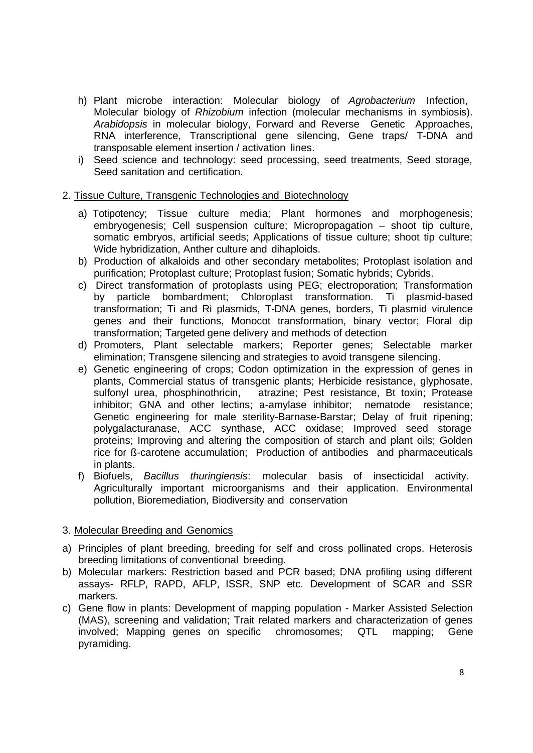- h) Plant microbe interaction: Molecular biology of *Agrobacterium* Infection, Molecular biology of *Rhizobium* infection (molecular mechanisms in symbiosis). *Arabidopsis* in molecular biology, Forward and Reverse Genetic Approaches, RNA interference, Transcriptional gene silencing, Gene traps/ T-DNA and transposable element insertion / activation lines.
- i) Seed science and technology: seed processing, seed treatments, Seed storage, Seed sanitation and certification.

### 2. Tissue Culture, Transgenic Technologies and Biotechnology

- a) Totipotency; Tissue culture media; Plant hormones and morphogenesis; embryogenesis; Cell suspension culture; Micropropagation – shoot tip culture, somatic embryos, artificial seeds; Applications of tissue culture; shoot tip culture; Wide hybridization, Anther culture and dihaploids.
- b) Production of alkaloids and other secondary metabolites; Protoplast isolation and purification; Protoplast culture; Protoplast fusion; Somatic hybrids; Cybrids.
- c) Direct transformation of protoplasts using PEG; electroporation; Transformation by particle bombardment; Chloroplast transformation. Ti plasmid-based transformation; Ti and Ri plasmids, T-DNA genes, borders, Ti plasmid virulence genes and their functions, Monocot transformation, binary vector; Floral dip transformation; Targeted gene delivery and methods of detection
- d) Promoters, Plant selectable markers; Reporter genes; Selectable marker elimination; Transgene silencing and strategies to avoid transgene silencing.
- e) Genetic engineering of crops; Codon optimization in the expression of genes in plants, Commercial status of transgenic plants; Herbicide resistance, glyphosate, sulfonyl urea, phosphinothricin, atrazine; Pest resistance, Bt toxin; Protease inhibitor; GNA and other lectins; a-amylase inhibitor; nematode resistance; Genetic engineering for male sterility-Barnase-Barstar; Delay of fruit ripening; polygalacturanase, ACC synthase, ACC oxidase; Improved seed storage proteins; Improving and altering the composition of starch and plant oils; Golden rice for ß-carotene accumulation; Production of antibodies and pharmaceuticals in plants.
- f) Biofuels, *Bacillus thuringiensis*: molecular basis of insecticidal activity. Agriculturally important microorganisms and their application. Environmental pollution, Bioremediation, Biodiversity and conservation

# 3. Molecular Breeding and Genomics

- a) Principles of plant breeding, breeding for self and cross pollinated crops. Heterosis breeding limitations of conventional breeding.
- b) Molecular markers: Restriction based and PCR based; DNA profiling using different assays- RFLP, RAPD, AFLP, ISSR, SNP etc. Development of SCAR and SSR markers.
- c) Gene flow in plants: Development of mapping population Marker Assisted Selection (MAS), screening and validation; Trait related markers and characterization of genes involved; Mapping genes on specific chromosomes; QTL mapping; Gene pyramiding.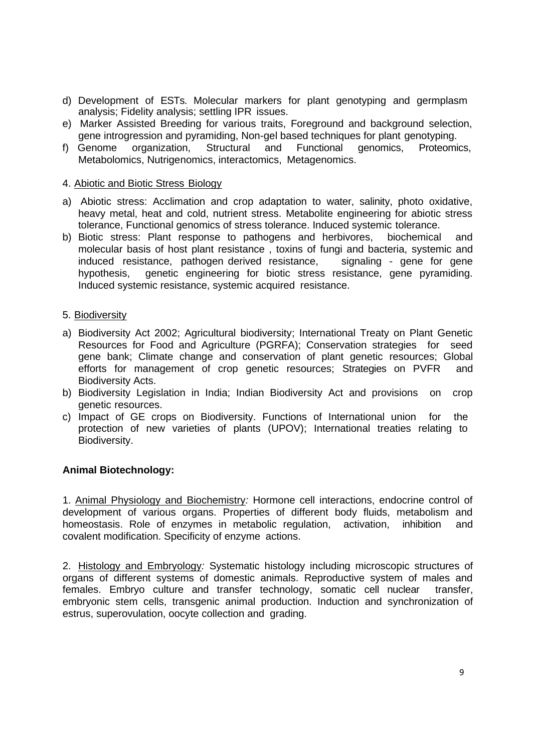- d) Development of ESTs. Molecular markers for plant genotyping and germplasm analysis; Fidelity analysis; settling IPR issues.
- e) Marker Assisted Breeding for various traits, Foreground and background selection, gene introgression and pyramiding, Non-gel based techniques for plant genotyping.
- f) Genome organization, Structural and Functional genomics, Proteomics, Metabolomics, Nutrigenomics, interactomics, Metagenomics.

### 4. Abiotic and Biotic Stress Biology

- a) Abiotic stress: Acclimation and crop adaptation to water, salinity, photo oxidative, heavy metal, heat and cold, nutrient stress. Metabolite engineering for abiotic stress tolerance, Functional genomics of stress tolerance. Induced systemic tolerance.
- b) Biotic stress: Plant response to pathogens and herbivores, biochemical and molecular basis of host plant resistance , toxins of fungi and bacteria, systemic and induced resistance, pathogen derived resistance, signaling - gene for gene hypothesis, genetic engineering for biotic stress resistance, gene pyramiding. Induced systemic resistance, systemic acquired resistance.

#### 5. Biodiversity

- a) Biodiversity Act 2002; Agricultural biodiversity; International Treaty on Plant Genetic Resources for Food and Agriculture (PGRFA); Conservation strategies for seed gene bank; Climate change and conservation of plant genetic resources; Global efforts for management of crop genetic resources; Strategies on PVFR and Biodiversity Acts.
- b) Biodiversity Legislation in India; Indian Biodiversity Act and provisions on crop genetic resources.
- c) Impact of GE crops on Biodiversity. Functions of International union for the protection of new varieties of plants (UPOV); International treaties relating to Biodiversity.

### **Animal Biotechnology:**

1. Animal Physiology and Biochemistry*:* Hormone cell interactions, endocrine control of development of various organs. Properties of different body fluids, metabolism and homeostasis. Role of enzymes in metabolic regulation, activation, inhibition and covalent modification. Specificity of enzyme actions.

2. Histology and Embryology*:* Systematic histology including microscopic structures of organs of different systems of domestic animals. Reproductive system of males and females. Embryo culture and transfer technology, somatic cell nuclear transfer, embryonic stem cells, transgenic animal production. Induction and synchronization of estrus, superovulation, oocyte collection and grading.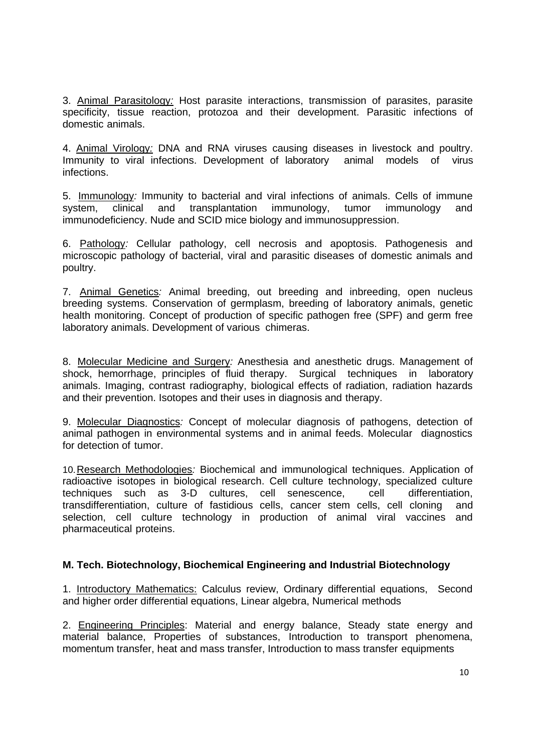3. Animal Parasitology*:* Host parasite interactions, transmission of parasites, parasite specificity, tissue reaction, protozoa and their development. Parasitic infections of domestic animals.

4. Animal Virology*:* DNA and RNA viruses causing diseases in livestock and poultry. Immunity to viral infections. Development of laboratory animal models of virus infections.

5. Immunology*:* Immunity to bacterial and viral infections of animals. Cells of immune system, clinical and transplantation immunology, tumor immunology and immunodeficiency. Nude and SCID mice biology and immunosuppression.

6. Pathology*:* Cellular pathology, cell necrosis and apoptosis. Pathogenesis and microscopic pathology of bacterial, viral and parasitic diseases of domestic animals and poultry.

7. Animal Genetics*:* Animal breeding, out breeding and inbreeding, open nucleus breeding systems. Conservation of germplasm, breeding of laboratory animals, genetic health monitoring. Concept of production of specific pathogen free (SPF) and germ free laboratory animals. Development of various chimeras.

8. Molecular Medicine and Surgery*:* Anesthesia and anesthetic drugs. Management of shock, hemorrhage, principles of fluid therapy. Surgical techniques in laboratory animals. Imaging, contrast radiography, biological effects of radiation, radiation hazards and their prevention. Isotopes and their uses in diagnosis and therapy.

9. Molecular Diagnostics*:* Concept of molecular diagnosis of pathogens, detection of animal pathogen in environmental systems and in animal feeds. Molecular diagnostics for detection of tumor.

10.Research Methodologies*:* Biochemical and immunological techniques. Application of radioactive isotopes in biological research. Cell culture technology, specialized culture techniques such as 3-D cultures, cell senescence, cell differentiation, transdifferentiation, culture of fastidious cells, cancer stem cells, cell cloning and selection, cell culture technology in production of animal viral vaccines and pharmaceutical proteins.

### **M. Tech. Biotechnology, Biochemical Engineering and Industrial Biotechnology**

1. Introductory Mathematics: Calculus review, Ordinary differential equations, Second and higher order differential equations, Linear algebra, Numerical methods

2. Engineering Principles: Material and energy balance, Steady state energy and material balance, Properties of substances, Introduction to transport phenomena, momentum transfer, heat and mass transfer, Introduction to mass transfer equipments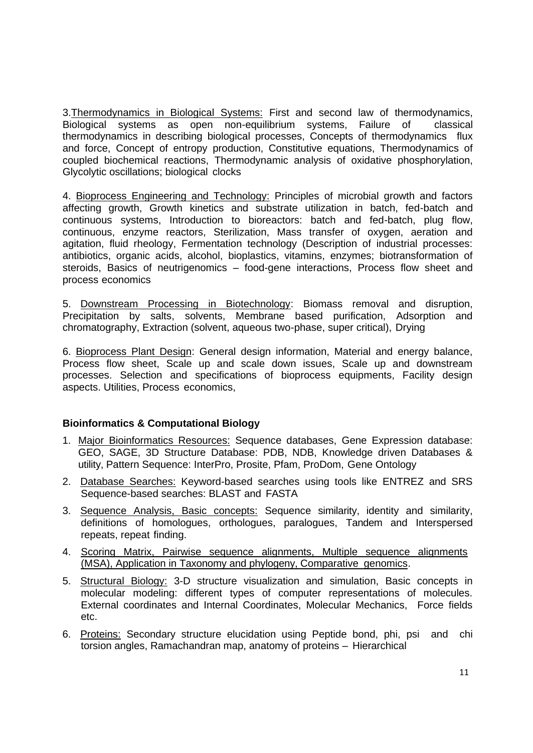3.Thermodynamics in Biological Systems: First and second law of thermodynamics, Biological systems as open non-equilibrium systems, Failure of classical thermodynamics in describing biological processes, Concepts of thermodynamics flux and force, Concept of entropy production, Constitutive equations, Thermodynamics of coupled biochemical reactions, Thermodynamic analysis of oxidative phosphorylation, Glycolytic oscillations; biological clocks

4. Bioprocess Engineering and Technology: Principles of microbial growth and factors affecting growth, Growth kinetics and substrate utilization in batch, fed-batch and continuous systems, Introduction to bioreactors: batch and fed-batch, plug flow, continuous, enzyme reactors, Sterilization, Mass transfer of oxygen, aeration and agitation, fluid rheology, Fermentation technology (Description of industrial processes: antibiotics, organic acids, alcohol, bioplastics, vitamins, enzymes; biotransformation of steroids, Basics of neutrigenomics – food-gene interactions, Process flow sheet and process economics

5. Downstream Processing in Biotechnology: Biomass removal and disruption, Precipitation by salts, solvents, Membrane based purification, Adsorption and chromatography, Extraction (solvent, aqueous two-phase, super critical), Drying

6. Bioprocess Plant Design: General design information, Material and energy balance, Process flow sheet, Scale up and scale down issues, Scale up and downstream processes. Selection and specifications of bioprocess equipments, Facility design aspects. Utilities, Process economics,

# **Bioinformatics & Computational Biology**

- 1. Major Bioinformatics Resources: Sequence databases, Gene Expression database: GEO, SAGE, 3D Structure Database: PDB, NDB, Knowledge driven Databases & utility, Pattern Sequence: InterPro, Prosite, Pfam, ProDom, Gene Ontology
- 2. Database Searches: Keyword-based searches using tools like ENTREZ and SRS Sequence-based searches: BLAST and FASTA
- 3. Sequence Analysis, Basic concepts: Sequence similarity, identity and similarity, definitions of homologues, orthologues, paralogues, Tandem and Interspersed repeats, repeat finding.
- 4. Scoring Matrix, Pairwise sequence alignments, Multiple sequence alignments (MSA), Application in Taxonomy and phylogeny, Comparative genomics.
- 5. Structural Biology: 3-D structure visualization and simulation, Basic concepts in molecular modeling: different types of computer representations of molecules. External coordinates and Internal Coordinates, Molecular Mechanics, Force fields etc.
- 6. Proteins: Secondary structure elucidation using Peptide bond, phi, psi and chi torsion angles, Ramachandran map, anatomy of proteins – Hierarchical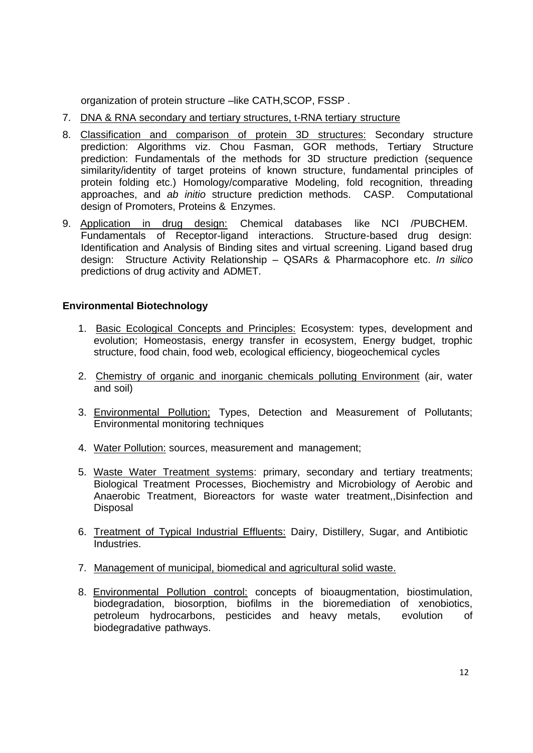organization of protein structure –like CATH, SCOP, FSSP.

- 7. DNA & RNA secondary and tertiary structures, t-RNA tertiary structure
- 8. Classification and comparison of protein 3D structures: Secondary structure prediction: Algorithms viz. Chou Fasman, GOR methods, Tertiary Structure prediction: Fundamentals of the methods for 3D structure prediction (sequence similarity/identity of target proteins of known structure, fundamental principles of protein folding etc.) Homology/comparative Modeling, fold recognition, threading approaches, and *ab initio* structure prediction methods. CASP. Computational design of Promoters, Proteins & Enzymes.
- 9. Application in drug design: Chemical databases like NCI /PUBCHEM. Fundamentals of Receptor-ligand interactions. Structure-based drug design: Identification and Analysis of Binding sites and virtual screening. Ligand based drug design: Structure Activity Relationship – QSARs & Pharmacophore etc. *In silico*  predictions of drug activity and ADMET.

# **Environmental Biotechnology**

- 1. Basic Ecological Concepts and Principles: Ecosystem: types, development and evolution; Homeostasis, energy transfer in ecosystem, Energy budget, trophic structure, food chain, food web, ecological efficiency, biogeochemical cycles
- 2. Chemistry of organic and inorganic chemicals polluting Environment (air, water and soil)
- 3. Environmental Pollution: Types, Detection and Measurement of Pollutants; Environmental monitoring techniques
- 4. Water Pollution: sources, measurement and management;
- 5. Waste Water Treatment systems: primary, secondary and tertiary treatments; Biological Treatment Processes, Biochemistry and Microbiology of Aerobic and Anaerobic Treatment, Bioreactors for waste water treatment,,Disinfection and **Disposal**
- 6. Treatment of Typical Industrial Effluents: Dairy, Distillery, Sugar, and Antibiotic Industries.
- 7. Management of municipal, biomedical and agricultural solid waste.
- 8. Environmental Pollution control: concepts of bioaugmentation, biostimulation, biodegradation, biosorption, biofilms in the bioremediation of xenobiotics, petroleum hydrocarbons, pesticides and heavy metals, evolution of biodegradative pathways.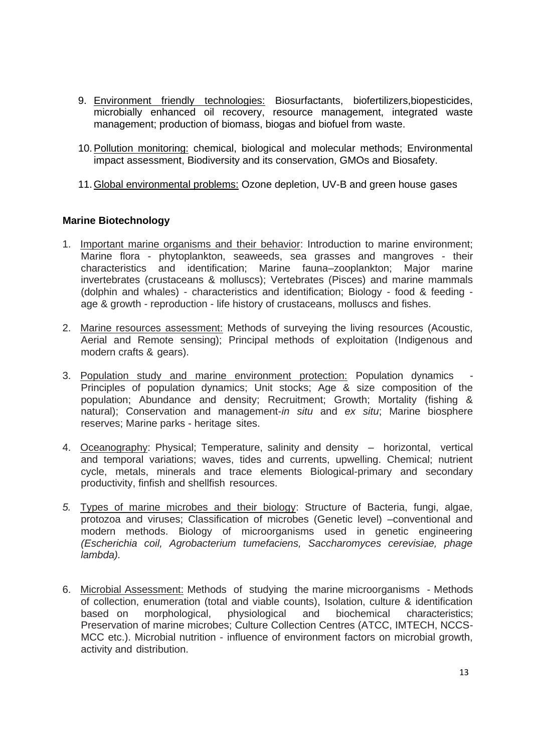- 9. Environment friendly technologies: Biosurfactants, biofertilizers, biopesticides, microbially enhanced oil recovery, resource management, integrated waste management; production of biomass, biogas and biofuel from waste.
- 10.Pollution monitoring: chemical, biological and molecular methods; Environmental impact assessment, Biodiversity and its conservation, GMOs and Biosafety.
- 11.Global environmental problems: Ozone depletion, UV-B and green house gases

### **Marine Biotechnology**

- 1. Important marine organisms and their behavior: Introduction to marine environment; Marine flora - phytoplankton, seaweeds, sea grasses and mangroves - their characteristics and identification; Marine fauna–zooplankton; Major marine invertebrates (crustaceans & molluscs); Vertebrates (Pisces) and marine mammals (dolphin and whales) - characteristics and identification; Biology - food & feeding age & growth - reproduction - life history of crustaceans, molluscs and fishes.
- 2. Marine resources assessment: Methods of surveying the living resources (Acoustic, Aerial and Remote sensing); Principal methods of exploitation (Indigenous and modern crafts & gears).
- 3. Population study and marine environment protection: Population dynamics Principles of population dynamics; Unit stocks; Age & size composition of the population; Abundance and density; Recruitment; Growth; Mortality (fishing & natural); Conservation and management-*in situ* and *ex situ*; Marine biosphere reserves; Marine parks - heritage sites.
- 4. Oceanography: Physical; Temperature, salinity and density horizontal, vertical and temporal variations; waves, tides and currents, upwelling. Chemical; nutrient cycle, metals, minerals and trace elements Biological-primary and secondary productivity, finfish and shellfish resources.
- *5.* Types of marine microbes and their biology: Structure of Bacteria, fungi, algae, protozoa and viruses; Classification of microbes (Genetic level) –conventional and modern methods. Biology of microorganisms used in genetic engineering *(Escherichia coil, Agrobacterium tumefaciens, Saccharomyces cerevisiae, phage lambda).*
- 6. Microbial Assessment: Methods of studying the marine microorganisms Methods of collection, enumeration (total and viable counts), Isolation, culture & identification based on morphological, physiological and biochemical characteristics; Preservation of marine microbes; Culture Collection Centres (ATCC, IMTECH, NCCS-MCC etc.). Microbial nutrition - influence of environment factors on microbial growth, activity and distribution.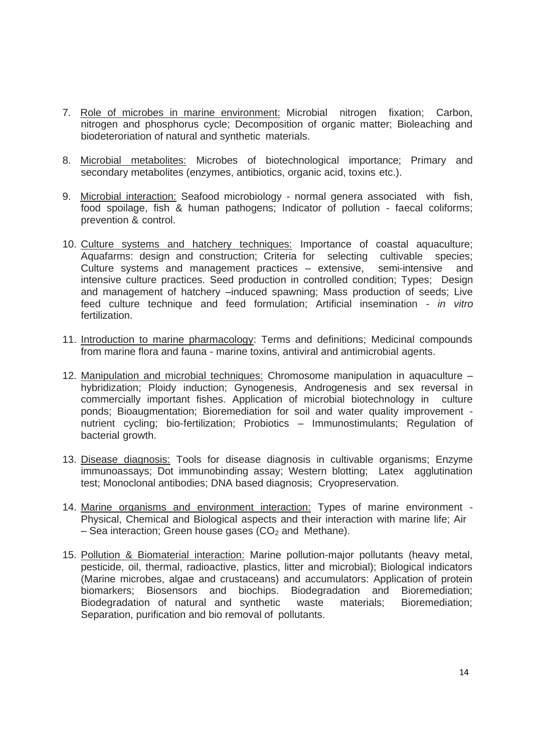- 7. Role of microbes in marine environment: Microbial nitrogen fixation; Carbon, nitrogen and phosphorus cycle; Decomposition of organic matter; Bioleaching and biodeteroriation of natural and synthetic materials.
- 8. Microbial metabolites: Microbes of biotechnological importance; Primary and secondary metabolites (enzymes, antibiotics, organic acid, toxins etc.).
- 9. Microbial interaction: Seafood microbiology normal genera associated with fish, food spoilage, fish & human pathogens; Indicator of pollution - faecal coliforms; prevention & control.
- 10. Culture systems and hatchery techniques: Importance of coastal aquaculture; Aquafarms: design and construction; Criteria for selecting cultivable species; Culture systems and management practices – extensive, semi-intensive and intensive culture practices. Seed production in controlled condition; Types; Design and management of hatchery –induced spawning; Mass production of seeds; Live feed culture technique and feed formulation; Artificial insemination - *in vitro*  fertilization.
- 11. Introduction to marine pharmacology: Terms and definitions; Medicinal compounds from marine flora and fauna - marine toxins, antiviral and antimicrobial agents.
- 12. Manipulation and microbial techniques: Chromosome manipulation in aquaculture hybridization; Ploidy induction; Gynogenesis, Androgenesis and sex reversal in commercially important fishes. Application of microbial biotechnology in culture ponds; Bioaugmentation; Bioremediation for soil and water quality improvement nutrient cycling; bio-fertilization; Probiotics – Immunostimulants; Regulation of bacterial growth.
- 13. Disease diagnosis: Tools for disease diagnosis in cultivable organisms; Enzyme immunoassays; Dot immunobinding assay; Western blotting; Latex agglutination test; Monoclonal antibodies; DNA based diagnosis; Cryopreservation.
- 14. Marine organisms and environment interaction: Types of marine environment Physical, Chemical and Biological aspects and their interaction with marine life; Air – Sea interaction; Green house gases  $(CO<sub>2</sub>$  and Methane).
- 15. Pollution & Biomaterial interaction: Marine pollution-major pollutants (heavy metal, pesticide, oil, thermal, radioactive, plastics, litter and microbial); Biological indicators (Marine microbes, algae and crustaceans) and accumulators: Application of protein biomarkers; Biosensors and biochips. Biodegradation and Bioremediation; Biodegradation of natural and synthetic waste materials; Bioremediation; Separation, purification and bio removal of pollutants.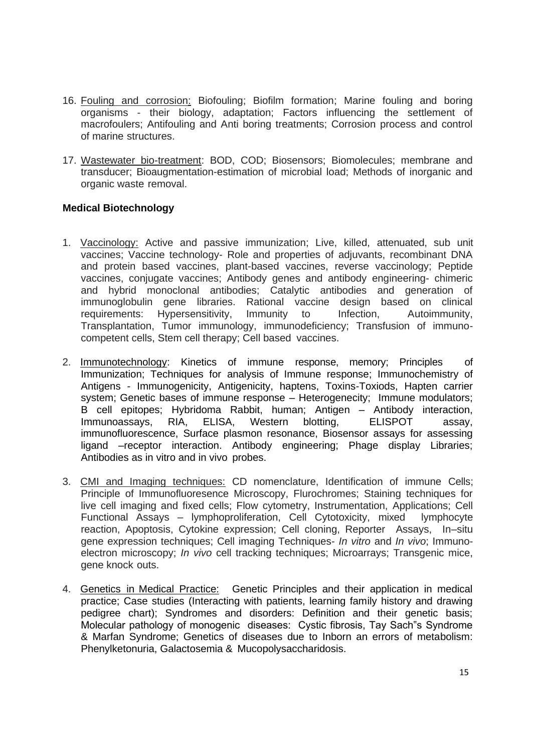- 16. Fouling and corrosion: Biofouling; Biofilm formation; Marine fouling and boring organisms - their biology, adaptation; Factors influencing the settlement of macrofoulers; Antifouling and Anti boring treatments; Corrosion process and control of marine structures.
- 17. Wastewater bio-treatment: BOD, COD; Biosensors; Biomolecules; membrane and transducer; Bioaugmentation-estimation of microbial load; Methods of inorganic and organic waste removal.

### **Medical Biotechnology**

- 1. Vaccinology: Active and passive immunization; Live, killed, attenuated, sub unit vaccines; Vaccine technology- Role and properties of adjuvants, recombinant DNA and protein based vaccines, plant-based vaccines, reverse vaccinology; Peptide vaccines, conjugate vaccines; Antibody genes and antibody engineering- chimeric and hybrid monoclonal antibodies; Catalytic antibodies and generation of immunoglobulin gene libraries. Rational vaccine design based on clinical requirements: Hypersensitivity, Immunity to Infection, Autoimmunity, Transplantation, Tumor immunology, immunodeficiency; Transfusion of immunocompetent cells, Stem cell therapy; Cell based vaccines.
- 2. Immunotechnology: Kinetics of immune response, memory; Principles of Immunization; Techniques for analysis of Immune response; Immunochemistry of Antigens - Immunogenicity, Antigenicity, haptens, Toxins-Toxiods, Hapten carrier system; Genetic bases of immune response – Heterogenecity; Immune modulators; B cell epitopes; Hybridoma Rabbit, human; Antigen – Antibody interaction, Immunoassays, RIA, ELISA, Western blotting, ELISPOT assay, immunofluorescence, Surface plasmon resonance, Biosensor assays for assessing ligand –receptor interaction. Antibody engineering; Phage display Libraries; Antibodies as in vitro and in vivo probes.
- 3. CMI and Imaging techniques: CD nomenclature, Identification of immune Cells; Principle of Immunofluoresence Microscopy, Flurochromes; Staining techniques for live cell imaging and fixed cells; Flow cytometry, Instrumentation, Applications; Cell Functional Assays – lymphoproliferation, Cell Cytotoxicity, mixed lymphocyte reaction, Apoptosis, Cytokine expression; Cell cloning, Reporter Assays, In–situ gene expression techniques; Cell imaging Techniques- *In vitro* and *In vivo*; Immunoelectron microscopy; *In vivo* cell tracking techniques; Microarrays; Transgenic mice, gene knock outs.
- 4. Genetics in Medical Practice: Genetic Principles and their application in medical practice; Case studies (Interacting with patients, learning family history and drawing pedigree chart); Syndromes and disorders: Definition and their genetic basis; Molecular pathology of monogenic diseases: Cystic fibrosis, Tay Sach"s Syndrome & Marfan Syndrome; Genetics of diseases due to Inborn an errors of metabolism: Phenylketonuria, Galactosemia & Mucopolysaccharidosis.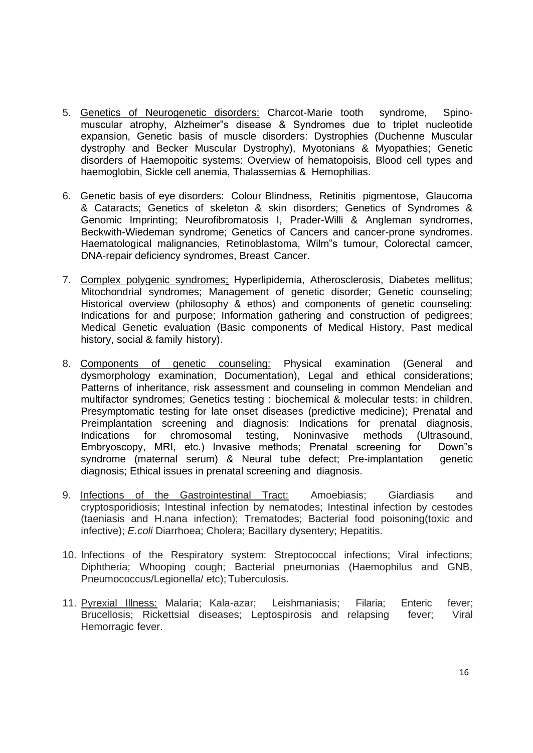- 5. Genetics of Neurogenetic disorders: Charcot-Marie tooth syndrome, Spinomuscular atrophy, Alzheimer"s disease & Syndromes due to triplet nucleotide expansion, Genetic basis of muscle disorders: Dystrophies (Duchenne Muscular dystrophy and Becker Muscular Dystrophy), Myotonians & Myopathies; Genetic disorders of Haemopoitic systems: Overview of hematopoisis, Blood cell types and haemoglobin, Sickle cell anemia, Thalassemias & Hemophilias.
- 6. Genetic basis of eye disorders: Colour Blindness, Retinitis pigmentose, Glaucoma & Cataracts; Genetics of skeleton & skin disorders; Genetics of Syndromes & Genomic Imprinting; Neurofibromatosis I, Prader-Willi & Angleman syndromes, Beckwith-Wiedeman syndrome; Genetics of Cancers and cancer-prone syndromes. Haematological malignancies, Retinoblastoma, Wilm"s tumour, Colorectal camcer, DNA-repair deficiency syndromes, Breast Cancer.
- 7. Complex polygenic syndromes: Hyperlipidemia, Atherosclerosis, Diabetes mellitus; Mitochondrial syndromes; Management of genetic disorder; Genetic counseling; Historical overview (philosophy & ethos) and components of genetic counseling: Indications for and purpose; Information gathering and construction of pedigrees; Medical Genetic evaluation (Basic components of Medical History, Past medical history, social & family history).
- 8. Components of genetic counseling: Physical examination (General and dysmorphology examination, Documentation), Legal and ethical considerations; Patterns of inheritance, risk assessment and counseling in common Mendelian and multifactor syndromes; Genetics testing : biochemical & molecular tests: in children, Presymptomatic testing for late onset diseases (predictive medicine); Prenatal and Preimplantation screening and diagnosis: Indications for prenatal diagnosis, Indications for chromosomal testing, Noninvasive methods (Ultrasound, Embryoscopy, MRI, etc.) Invasive methods; Prenatal screening for Down"s syndrome (maternal serum) & Neural tube defect; Pre-implantation genetic diagnosis; Ethical issues in prenatal screening and diagnosis.
- 9. Infections of the Gastrointestinal Tract: Amoebiasis; Giardiasis and cryptosporidiosis; Intestinal infection by nematodes; Intestinal infection by cestodes (taeniasis and H.nana infection); Trematodes; Bacterial food poisoning(toxic and infective); *E.coli* Diarrhoea; Cholera; Bacillary dysentery; Hepatitis.
- 10. Infections of the Respiratory system: Streptococcal infections; Viral infections; Diphtheria; Whooping cough; Bacterial pneumonias (Haemophilus and GNB, Pneumococcus/Legionella/ etc); Tuberculosis.
- 11. Pyrexial Illness: Malaria; Kala-azar; Leishmaniasis; Filaria; Enteric fever; Brucellosis; Rickettsial diseases; Leptospirosis and relapsing fever; Viral Hemorragic fever.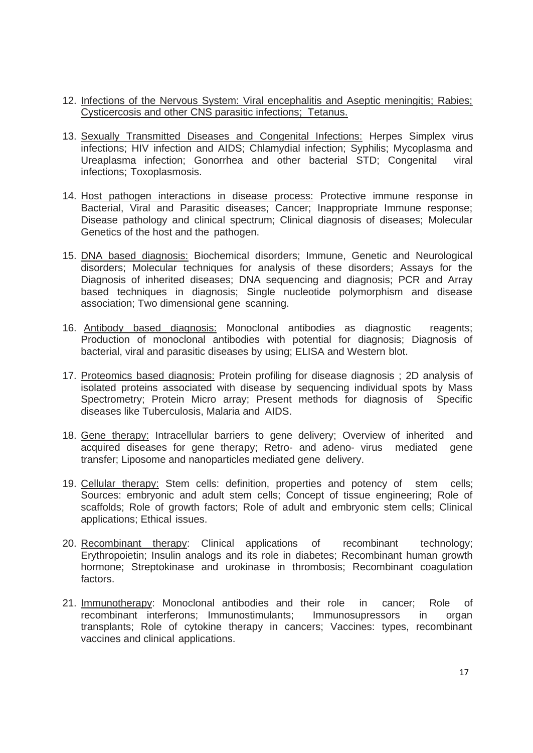- 12. Infections of the Nervous System: Viral encephalitis and Aseptic meningitis; Rabies; Cysticercosis and other CNS parasitic infections; Tetanus.
- 13. Sexually Transmitted Diseases and Congenital Infections: Herpes Simplex virus infections; HIV infection and AIDS; Chlamydial infection; Syphilis; Mycoplasma and Ureaplasma infection; Gonorrhea and other bacterial STD; Congenital viral infections; Toxoplasmosis.
- 14. Host pathogen interactions in disease process: Protective immune response in Bacterial, Viral and Parasitic diseases; Cancer; Inappropriate Immune response; Disease pathology and clinical spectrum; Clinical diagnosis of diseases; Molecular Genetics of the host and the pathogen.
- 15. DNA based diagnosis: Biochemical disorders; Immune, Genetic and Neurological disorders; Molecular techniques for analysis of these disorders; Assays for the Diagnosis of inherited diseases; DNA sequencing and diagnosis; PCR and Array based techniques in diagnosis; Single nucleotide polymorphism and disease association; Two dimensional gene scanning.
- 16. Antibody based diagnosis: Monoclonal antibodies as diagnostic reagents; Production of monoclonal antibodies with potential for diagnosis; Diagnosis of bacterial, viral and parasitic diseases by using; ELISA and Western blot.
- 17. Proteomics based diagnosis: Protein profiling for disease diagnosis ; 2D analysis of isolated proteins associated with disease by sequencing individual spots by Mass Spectrometry; Protein Micro array; Present methods for diagnosis of Specific diseases like Tuberculosis, Malaria and AIDS.
- 18. Gene therapy: Intracellular barriers to gene delivery; Overview of inherited and acquired diseases for gene therapy; Retro- and adeno- virus mediated gene transfer; Liposome and nanoparticles mediated gene delivery.
- 19. Cellular therapy: Stem cells: definition, properties and potency of stem cells; Sources: embryonic and adult stem cells; Concept of tissue engineering; Role of scaffolds; Role of growth factors; Role of adult and embryonic stem cells; Clinical applications; Ethical issues.
- 20. Recombinant therapy: Clinical applications of recombinant technology; Erythropoietin; Insulin analogs and its role in diabetes; Recombinant human growth hormone; Streptokinase and urokinase in thrombosis; Recombinant coagulation factors.
- 21. Immunotherapy: Monoclonal antibodies and their role in cancer; Role of recombinant interferons; Immunostimulants; Immunosupressors in organ transplants; Role of cytokine therapy in cancers; Vaccines: types, recombinant vaccines and clinical applications.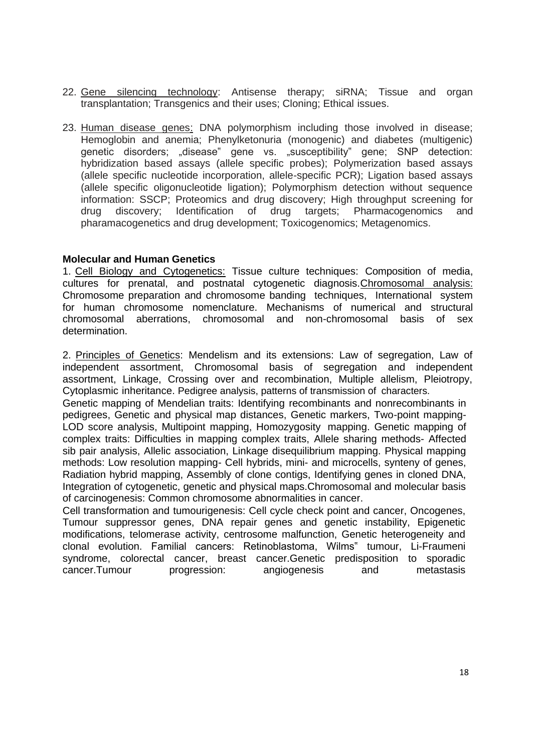- 22. Gene silencing technology: Antisense therapy; siRNA; Tissue and organ transplantation; Transgenics and their uses; Cloning; Ethical issues.
- 23. Human disease genes: DNA polymorphism including those involved in disease; Hemoglobin and anemia; Phenylketonuria (monogenic) and diabetes (multigenic) genetic disorders; "disease" gene vs. "susceptibility" gene; SNP detection: hybridization based assays (allele specific probes); Polymerization based assays (allele specific nucleotide incorporation, allele-specific PCR); Ligation based assays (allele specific oligonucleotide ligation); Polymorphism detection without sequence information: SSCP; Proteomics and drug discovery; High throughput screening for drug discovery; Identification of drug targets; Pharmacogenomics and pharamacogenetics and drug development; Toxicogenomics; Metagenomics.

### **Molecular and Human Genetics**

1. Cell Biology and Cytogenetics: Tissue culture techniques: Composition of media, cultures for prenatal, and postnatal cytogenetic diagnosis.Chromosomal analysis: Chromosome preparation and chromosome banding techniques, International system for human chromosome nomenclature. Mechanisms of numerical and structural chromosomal aberrations, chromosomal and non-chromosomal basis of sex determination.

2. Principles of Genetics: Mendelism and its extensions: Law of segregation, Law of independent assortment, Chromosomal basis of segregation and independent assortment, Linkage, Crossing over and recombination, Multiple allelism, Pleiotropy, Cytoplasmic inheritance. Pedigree analysis, patterns of transmission of characters.

Genetic mapping of Mendelian traits: Identifying recombinants and nonrecombinants in pedigrees, Genetic and physical map distances, Genetic markers, Two-point mapping-LOD score analysis, Multipoint mapping, Homozygosity mapping. Genetic mapping of complex traits: Difficulties in mapping complex traits, Allele sharing methods- Affected sib pair analysis, Allelic association, Linkage disequilibrium mapping. Physical mapping methods: Low resolution mapping- Cell hybrids, mini- and microcells, synteny of genes, Radiation hybrid mapping, Assembly of clone contigs, Identifying genes in cloned DNA, Integration of cytogenetic, genetic and physical maps.Chromosomal and molecular basis of carcinogenesis: Common chromosome abnormalities in cancer.

Cell transformation and tumourigenesis: Cell cycle check point and cancer, Oncogenes, Tumour suppressor genes, DNA repair genes and genetic instability, Epigenetic modifications, telomerase activity, centrosome malfunction, Genetic heterogeneity and clonal evolution. Familial cancers: Retinoblastoma, Wilms" tumour, Li-Fraumeni syndrome, colorectal cancer, breast cancer.Genetic predisposition to sporadic cancer.Tumour progression: angiogenesis and metastasis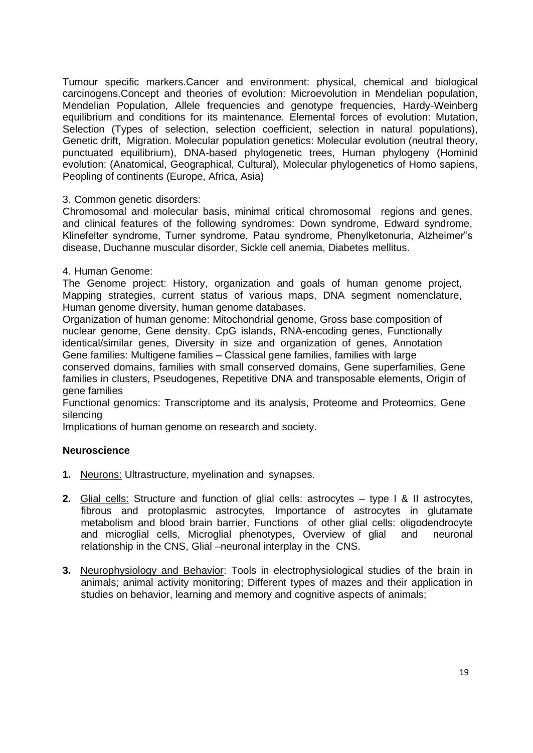Tumour specific markers.Cancer and environment: physical, chemical and biological carcinogens.Concept and theories of evolution: Microevolution in Mendelian population, Mendelian Population, Allele frequencies and genotype frequencies, Hardy-Weinberg equilibrium and conditions for its maintenance. Elemental forces of evolution: Mutation, Selection (Types of selection, selection coefficient, selection in natural populations), Genetic drift, Migration. Molecular population genetics: Molecular evolution (neutral theory, punctuated equilibrium), DNA-based phylogenetic trees, Human phylogeny (Hominid evolution: (Anatomical, Geographical, Cultural), Molecular phylogenetics of Homo sapiens, Peopling of continents (Europe, Africa, Asia)

### 3. Common genetic disorders:

Chromosomal and molecular basis, minimal critical chromosomal regions and genes, and clinical features of the following syndromes: Down syndrome, Edward syndrome, Klinefelter syndrome, Turner syndrome, Patau syndrome, Phenylketonuria, Alzheimer"s disease, Duchanne muscular disorder, Sickle cell anemia, Diabetes mellitus.

### 4. Human Genome:

The Genome project: History, organization and goals of human genome project, Mapping strategies, current status of various maps, DNA segment nomenclature, Human genome diversity, human genome databases.

Organization of human genome: Mitochondrial genome, Gross base composition of nuclear genome, Gene density. CpG islands, RNA-encoding genes, Functionally identical/similar genes, Diversity in size and organization of genes, Annotation Gene families: Multigene families – Classical gene families, families with large

conserved domains, families with small conserved domains, Gene superfamilies, Gene families in clusters, Pseudogenes, Repetitive DNA and transposable elements, Origin of gene families

Functional genomics: Transcriptome and its analysis, Proteome and Proteomics, Gene silencing

Implications of human genome on research and society.

### **Neuroscience**

- **1.** Neurons: Ultrastructure, myelination and synapses.
- **2.** Glial cells: Structure and function of glial cells: astrocytes type I & II astrocytes, fibrous and protoplasmic astrocytes, Importance of astrocytes in glutamate metabolism and blood brain barrier, Functions of other glial cells: oligodendrocyte and microglial cells, Microglial phenotypes, Overview of glial and neuronal relationship in the CNS, Glial –neuronal interplay in the CNS.
- **3.** Neurophysiology and Behavior: Tools in electrophysiological studies of the brain in animals; animal activity monitoring; Different types of mazes and their application in studies on behavior, learning and memory and cognitive aspects of animals;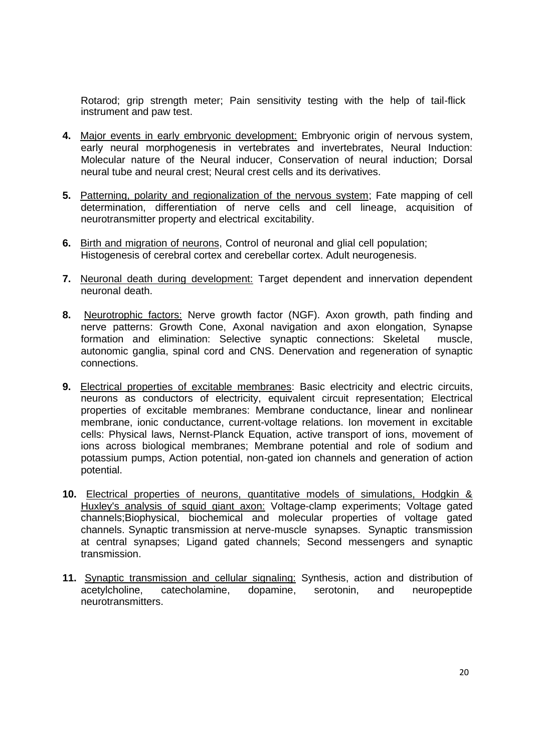Rotarod; grip strength meter; Pain sensitivity testing with the help of tail-flick instrument and paw test.

- **4.** Major events in early embryonic development: Embryonic origin of nervous system, early neural morphogenesis in vertebrates and invertebrates, Neural Induction: Molecular nature of the Neural inducer, Conservation of neural induction; Dorsal neural tube and neural crest; Neural crest cells and its derivatives.
- **5.** Patterning, polarity and regionalization of the nervous system; Fate mapping of cell determination, differentiation of nerve cells and cell lineage, acquisition of neurotransmitter property and electrical excitability.
- **6.** Birth and migration of neurons, Control of neuronal and glial cell population; Histogenesis of cerebral cortex and cerebellar cortex. Adult neurogenesis.
- **7.** Neuronal death during development: Target dependent and innervation dependent neuronal death.
- **8.** Neurotrophic factors: Nerve growth factor (NGF). Axon growth, path finding and nerve patterns: Growth Cone, Axonal navigation and axon elongation, Synapse formation and elimination: Selective synaptic connections: Skeletal muscle, autonomic ganglia, spinal cord and CNS. Denervation and regeneration of synaptic connections.
- **9.** Electrical properties of excitable membranes: Basic electricity and electric circuits, neurons as conductors of electricity, equivalent circuit representation; Electrical properties of excitable membranes: Membrane conductance, linear and nonlinear membrane, ionic conductance, current-voltage relations. Ion movement in excitable cells: Physical laws, Nernst-Planck Equation, active transport of ions, movement of ions across biological membranes; Membrane potential and role of sodium and potassium pumps, Action potential, non-gated ion channels and generation of action potential.
- **10.** Electrical properties of neurons, quantitative models of simulations, Hodgkin & Huxley's analysis of squid giant axon: Voltage-clamp experiments; Voltage gated channels;Biophysical, biochemical and molecular properties of voltage gated channels. Synaptic transmission at nerve-muscle synapses. Synaptic transmission at central synapses; Ligand gated channels; Second messengers and synaptic transmission.
- **11.** Synaptic transmission and cellular signaling: Synthesis, action and distribution of acetylcholine, catecholamine, dopamine, serotonin, and neuropeptide neurotransmitters.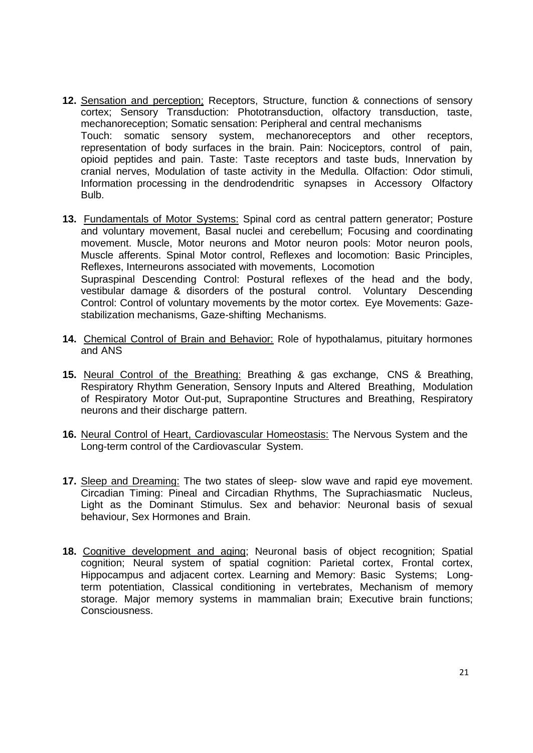- **12.** Sensation and perception: Receptors, Structure, function & connections of sensory cortex; Sensory Transduction: Phototransduction, olfactory transduction, taste, mechanoreception; Somatic sensation: Peripheral and central mechanisms Touch: somatic sensory system, mechanoreceptors and other receptors, representation of body surfaces in the brain. Pain: Nociceptors, control of pain, opioid peptides and pain. Taste: Taste receptors and taste buds, Innervation by cranial nerves, Modulation of taste activity in the Medulla. Olfaction: Odor stimuli, Information processing in the dendrodendritic synapses in Accessory Olfactory Bulb.
- **13.** Fundamentals of Motor Systems: Spinal cord as central pattern generator; Posture and voluntary movement, Basal nuclei and cerebellum; Focusing and coordinating movement. Muscle, Motor neurons and Motor neuron pools: Motor neuron pools, Muscle afferents. Spinal Motor control, Reflexes and locomotion: Basic Principles, Reflexes, Interneurons associated with movements, Locomotion Supraspinal Descending Control: Postural reflexes of the head and the body, vestibular damage & disorders of the postural control. Voluntary Descending Control: Control of voluntary movements by the motor cortex. Eye Movements: Gazestabilization mechanisms, Gaze-shifting Mechanisms.
- **14.** Chemical Control of Brain and Behavior: Role of hypothalamus, pituitary hormones and ANS
- **15.** Neural Control of the Breathing: Breathing & gas exchange, CNS & Breathing, Respiratory Rhythm Generation, Sensory Inputs and Altered Breathing, Modulation of Respiratory Motor Out-put, Suprapontine Structures and Breathing, Respiratory neurons and their discharge pattern.
- **16.** Neural Control of Heart, Cardiovascular Homeostasis: The Nervous System and the Long-term control of the Cardiovascular System.
- **17.** Sleep and Dreaming: The two states of sleep- slow wave and rapid eye movement. Circadian Timing: Pineal and Circadian Rhythms, The Suprachiasmatic Nucleus, Light as the Dominant Stimulus. Sex and behavior: Neuronal basis of sexual behaviour, Sex Hormones and Brain.
- **18.** Cognitive development and aging; Neuronal basis of object recognition; Spatial cognition; Neural system of spatial cognition: Parietal cortex, Frontal cortex, Hippocampus and adjacent cortex. Learning and Memory: Basic Systems; Longterm potentiation, Classical conditioning in vertebrates, Mechanism of memory storage. Major memory systems in mammalian brain; Executive brain functions; Consciousness.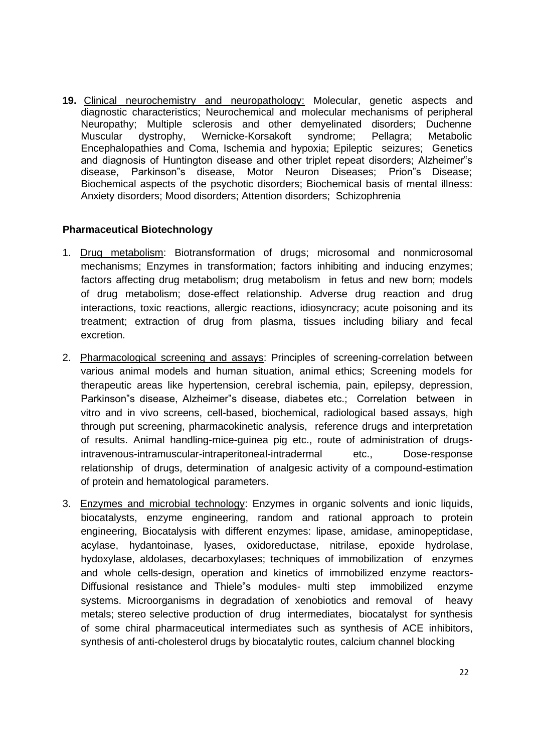**19.** Clinical neurochemistry and neuropathology: Molecular, genetic aspects and diagnostic characteristics; Neurochemical and molecular mechanisms of peripheral Neuropathy; Multiple sclerosis and other demyelinated disorders; Duchenne Muscular dystrophy, Wernicke-Korsakoft syndrome; Pellagra; Metabolic Encephalopathies and Coma, Ischemia and hypoxia; Epileptic seizures; Genetics and diagnosis of Huntington disease and other triplet repeat disorders; Alzheimer"s disease, Parkinson"s disease, Motor Neuron Diseases; Prion"s Disease; Biochemical aspects of the psychotic disorders; Biochemical basis of mental illness: Anxiety disorders; Mood disorders; Attention disorders; Schizophrenia

### **Pharmaceutical Biotechnology**

- 1. Drug metabolism: Biotransformation of drugs; microsomal and nonmicrosomal mechanisms; Enzymes in transformation; factors inhibiting and inducing enzymes; factors affecting drug metabolism; drug metabolism in fetus and new born; models of drug metabolism; dose-effect relationship. Adverse drug reaction and drug interactions, toxic reactions, allergic reactions, idiosyncracy; acute poisoning and its treatment; extraction of drug from plasma, tissues including biliary and fecal excretion.
- 2. Pharmacological screening and assays: Principles of screening-correlation between various animal models and human situation, animal ethics; Screening models for therapeutic areas like hypertension, cerebral ischemia, pain, epilepsy, depression, Parkinson"s disease, Alzheimer"s disease, diabetes etc.; Correlation between in vitro and in vivo screens, cell-based, biochemical, radiological based assays, high through put screening, pharmacokinetic analysis, reference drugs and interpretation of results. Animal handling-mice-guinea pig etc., route of administration of drugsintravenous-intramuscular-intraperitoneal-intradermal etc., Dose-response relationship of drugs, determination of analgesic activity of a compound-estimation of protein and hematological parameters.
- 3. Enzymes and microbial technology: Enzymes in organic solvents and ionic liquids, biocatalysts, enzyme engineering, random and rational approach to protein engineering, Biocatalysis with different enzymes: lipase, amidase, aminopeptidase, acylase, hydantoinase, lyases, oxidoreductase, nitrilase, epoxide hydrolase, hydoxylase, aldolases, decarboxylases; techniques of immobilization of enzymes and whole cells-design, operation and kinetics of immobilized enzyme reactors-Diffusional resistance and Thiele"s modules- multi step immobilized enzyme systems. Microorganisms in degradation of xenobiotics and removal of heavy metals; stereo selective production of drug intermediates, biocatalyst for synthesis of some chiral pharmaceutical intermediates such as synthesis of ACE inhibitors, synthesis of anti-cholesterol drugs by biocatalytic routes, calcium channel blocking